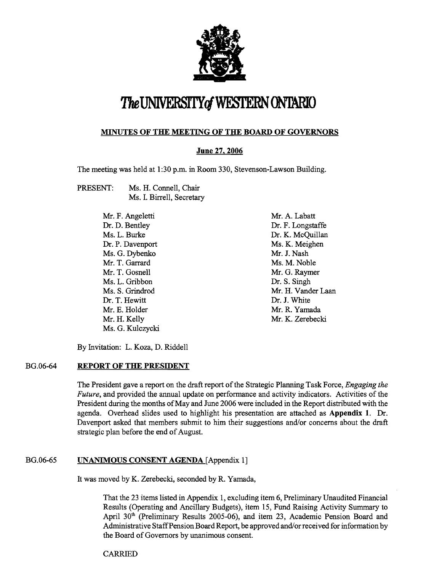

# The UNIVERSITY of WESTERN ON TARIO

#### **MINUTES OF THE MEETING OF THE BOARD OF GOVERNORS**

#### **June 27,2006**

The meeting was held at 1:30 p.m. in Room 330, Stevenson-Lawson Building.

PRESENT: Ms. H. Connell, Chair Ms. I. Birrell, Secretary

| Mr. F. Angeletti |
|------------------|
| Dr. D. Bentley   |
| Ms. L. Burke     |
| Dr. P. Davenport |
| Ms. G. Dybenko   |
| Mr. T. Garrard   |
| Mr. T. Gosnell   |
| Ms. L. Gribbon   |
| Ms S. Grindrod   |
| Dr. T. Hewitt    |
| Mr. E. Holder    |
| Mr. H. Kelly     |
| Ms. G. Kulczycki |

Mr. A. Labatt Dr. F. Longstaffe Dr. K. McQuillan Ms. K. Meighen Mr. J. Nash Ms. M. Noble Mr. G. Raymer Dr. S. Singh Mr. H. Vander Laan Dr. J. White Mr. R. Yamada Mr. K. Zerebecki

By Invitation: L. Koza, D. Riddell

#### BG.06-64 **REPORT OF THE PRESIDENT**

The President gave a report on the draft report of the Strategic Planning Task Force, *Engaging* the Future, and provided the annual update on performance and activity indicators. Activities of the President during the months of May and June 2006 were included in the Report distributed with the agenda. Overhead slides used to highlight his presentation are attached as **Appendix 1.** Dr. Davenport asked that members submit to him their suggestions and/or concerns about the draft strategic plan before the end of August.

#### BG.06-65 **LINANIMOUS CONSENT AGENDA** [Appendix 1]

It was moved by K. Zerebecki, seconded by R. Yarnada,

That the 23 items listed in Appendix 1, excluding item 6, Preliminary Unaudited Financial Results (Operating and Ancillary Budgets), item 15, Fund Raising Activity Summary to April 30" (Preliminary Results 2005-06), and item 23, Academic Pension Board and Administrative Staff Pension Board Report, be approved and/or received for information by the Board of Governors by unanimous consent.

CARRIED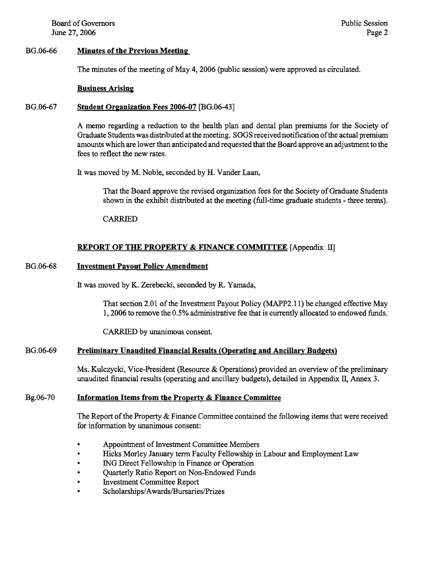Board of Governors June 27,2006

#### BG.06-66 **Minutes of the Previous Meeting**

The minutes of the meeting of May 4,2006 (public session) were approved as circulated.

#### **Business Arising**

#### BG.06-67 **Student Organization Fees 2006-07** [BG.06-43]

**A** memo regarding a reduction to the health plan and dental plan premiums for the Society of Graduate Students was distributed at the meeting. SOGS receivednotification ofthe actual premium amounts which are lower than anticipated and requested that the Board approve an adjustment to the fees to reflect the new rates.

It was moved by M. Noble, seconded by H. Vander Laan,

That the Board approve the revised organization fees for the Society of Graduate Students shown in the exhibit distributed at the meeting (full-time graduate students - three terms).

CARRIED

#### **REPORT OF THE PROPERTY** & **FINANCE COMMITTEE** [Appendix

#### BG.06-68 **Investment Pavout Policv Amendment**

It was moved by K. Zerebecki, seconded by R. Yamada,

That section 2.01 of the Investment Payout Policy (MAPP2.11) be changed effective May 1,2006 to remove the 0.5% administrative fee that is currently allocated to endowed funds.

CARRIED by unanimous consent.

#### BG.06-69 **Preliminary Unaudited Financial Results (Operating and Ancillary Budgets)**

Ms. Kulczycki, Vice-President (Resource & Operations) provided an overview of the preliminary unaudited financial results (operating and ancillary budgets), detailed in Appendix **11,** Annex 3.

#### Bg.06-70 **Information Items from the Property & Finance Committee**

The Report of the Property & Finance Committee contained the following items that were received for information by unanimous consent:

- Appointment of Investment Committee Members
- Hicks Morley January term Faculty Fellowship in Labour and Employment Law
- ING Direct Fellowship in Finance or Operation
- Quarterly Ratio Report on Non-Endowed Funds Investment Committee Report
- 
- **Scholarships/Awards/Bursaries/Prizes**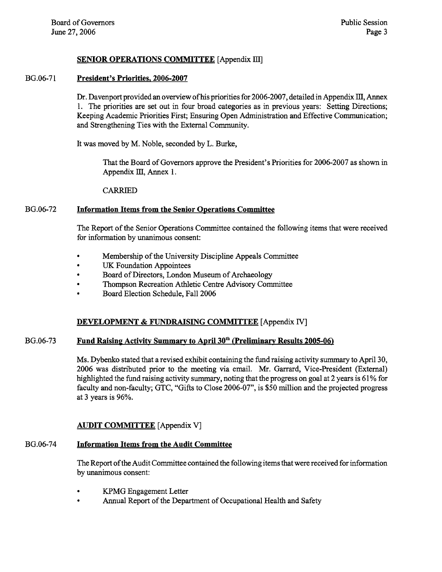#### **SENIOR OPERATIONS COMMITTEE** [Appendix III]

#### BG.06-7 1 **President's Priorities, 2006-2007**

Dr. Davenport provided an overview of his priorities for 2006-2007, detailed in Appendix III, Annex 1. The priorities are set out in four broad categories as in previous years: Setting Directions; Keeping Academic Priorities First; Ensuring Open Administration and Effective Communication; and Strengthening Ties with the External Community.

It was moved by M. Noble, seconded by L. Burke,

That the Board of Governors approve the President's Priorities for 2006-2007 as shown in Appendix III, Annex 1.

CARRIED

#### BG.06-72 **Information Items from the Senior Operations Committee**

The Report of the Senior Operations Committee contained the following items that were received for information by unanimous consent:

- Membership of the University Discipline Appeals Committee
- UK Foundation Appointees  $\bullet$
- $\bullet$ Board of Directors, London Museum of Archaeology
- Thompson Recreation Athletic Centre Advisory Committee  $\bullet$
- Board Election Schedule, Fall 2006  $\ddot{\phantom{a}}$

#### **DEVELOPMENT** & **FUNDRAISING COMMITTEE** [Appendix IV]

#### BG.06-73 **Fund Raising Activity Summary to April 30<sup>th</sup> (Preliminary Results 2005-06)**

Ms. Dybenko stated that a revised exhibit containing the fimd raising activity summary to April 30, 2006 was distributed prior to the meeting via email. Mr. Garrard, Vice-President (External) highlighted the fund raising activity summary, noting that the progress on goal at 2 years is 61% for faculty and non-faculty; GTC, "Gifts to Close 2006-07", is \$50 million and the projected progress at 3 years is 96%.

#### **AITDIT COMMITTEE** [Appendix V]

#### BG.06-74 **Information Items from the Audit Committee**

The Report of the Audit Committee contained the following items that were received for information by unanimous consent:

- KPMG Engagement Letter
- Annual Report of the Department of Occupational Health and Safety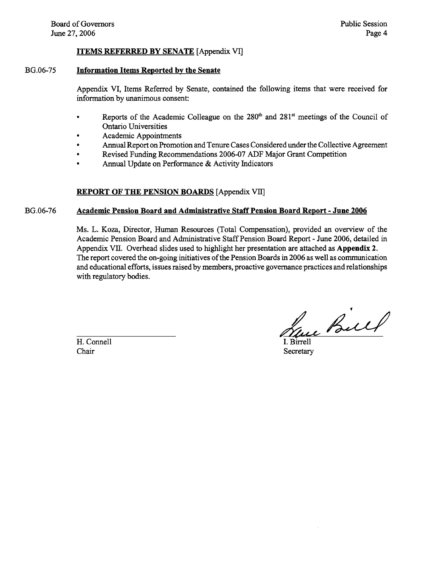#### **ITEMS REFERRED BY SENATE** [Appendix VT]

### BG.06-75 **Information Items Reported by the Senate**

Appendix VI, Items Referred by Senate, contained the following items that were received for information by unanimous consent:

- Reports of the Academic Colleague on the 280" and 281" meetings of the Council of Ontario Universities
- Academic Appointments
- Annual Report on Promotion and Tenure Cases Considered under the Collective Agreement  $\bullet$
- $\bullet$ Revised Funding Recommendations 2006-07 ADF Major Grant Competition
- Annual Update on Performance & Activity Indicators  $\bullet$

## **REPORT OF THE PENSION BOARDS** [Appendix VIIJ

## BG.06-76 **Academic Pension Board and Administrative Staff Pension Board Report** - **June 2006**

Ms. L. Koza, Director, Human Resources (Total Compensation), provided an overview of the Academic Pension Board and Administrative Staff Pension Board Report - June 2006, detailed in Appendix VII. Overhead slides used to highlight her presentation are attached as **Appendix 2.**  The report covered the on-going initiatives of the Pension Boards in 2006 as well as communication and educational efforts, issues raised by members, proactive governance practices and relationships with regulatory bodies.

H. Connell Chair

Tue Bill

**Secretary**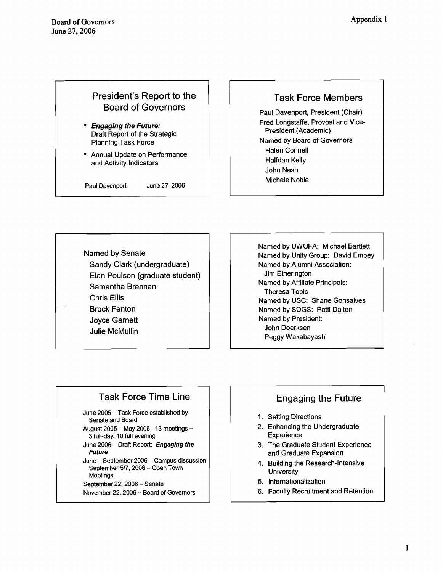# President's Report to the Board of Governors

- **Engaging the Future:**  Draft Report of the Strategic Planning Task Force
- Annual Update on Performance and Activity Indicators

Paul Davenport June 27, 2006

## Task Force Members

Paul Davenport, President (Chair) Fred Longstaffe, Provost and Vice-President (Academic) Named by Board of Governors Helen Connell Halfdan Kelly John Nash Michele Noble

Named by Senate Sandy Clark (undergraduate) Elan Poulson (graduate student) Samantha Brennan Chris Ellis Brock Fenton Joyce Garnett Julie McMullin

Named by UWOFA: Michael Bartlett Named by Unity Group: David Empey Named by Alumni Association: Jim Etherington Named by Affiliate Principals: Theresa Topic Named by USC: Shane Gonsalves Named by SOGS: Patti Dalton Named by President: John Doerksen Peggy Wakabayashi

# Task Force Time Line

-

- **June** 2005 **Task Force established by Senate and Board**
- **August** 2005 **May** 2006: **13 meetings 3 full-day;** 10 **full evening**
- **June** 2006 **Drafl Report: Engaging the Future**
- **June September** 2006 **Campus discussion September** 517,2006 - **Open Tom Meetings**
- **September** 22,2006 **Senate**
- **November** 22,2006 **Board of Governors**

# Engaging the Future

- 1. Setting Directions
- 2. Enhancing the Undergraduate **Experience**
- 3. 'The Graduate Student Experience and Graduate Expansion
- 4. Building the Research-Intensive **University**
- 5. Internationalization
- 6. Faculty Recruitment and Retention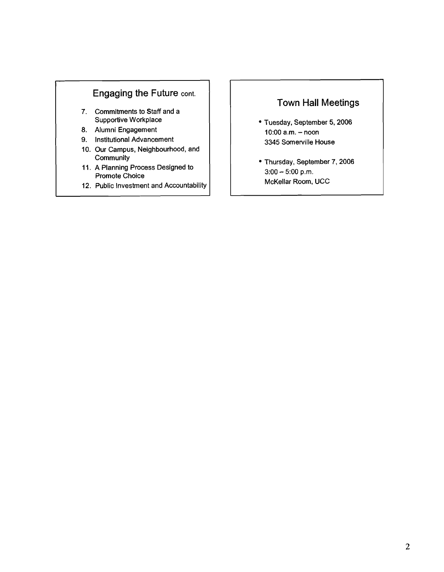## **Engaging the Future cont.**

- **7. Commitments to Staff and a Supportive Workplace**
- **8. Alumni Engagement**
- **9. Institutional Advancement**
- **10. Our Campus, Neighbourhood, and Community**
- **11. A Planning Process Designed to Promote Choice**
- **12. Public Investment and Accountability**

# **Town Hall Meetings**

- **Tuesday, September 5,2006 10:OO a.m.** - **noon 3345 Somerville House**
- **Thursday, September 7,2006 3:00** - **5:00 p.m. McKellar Room, UCC**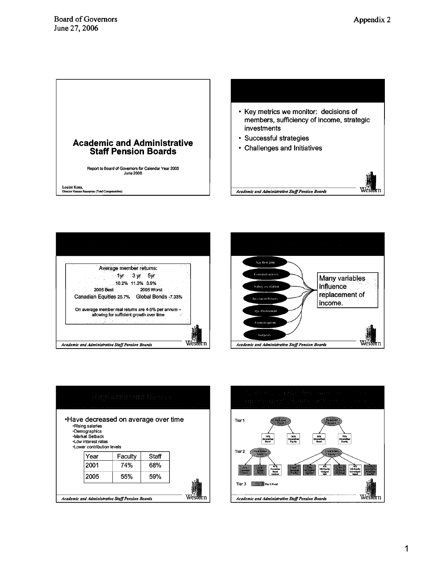